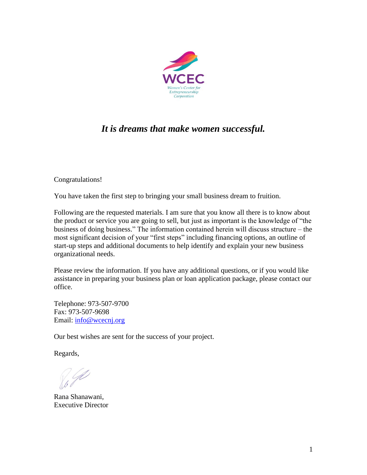

# *It is dreams that make women successful.*

Congratulations!

You have taken the first step to bringing your small business dream to fruition.

Following are the requested materials. I am sure that you know all there is to know about the product or service you are going to sell, but just as important is the knowledge of "the business of doing business." The information contained herein will discuss structure – the most significant decision of your "first steps" including financing options, an outline of start-up steps and additional documents to help identify and explain your new business organizational needs.

Please review the information. If you have any additional questions, or if you would like assistance in preparing your business plan or loan application package, please contact our office.

Telephone: 973-507-9700 Fax: 973-507-9698 Email: [info@wcecnj.org](mailto:info@wcecnj.org)

Our best wishes are sent for the success of your project.

Regards,

Rana Shanawani, Executive Director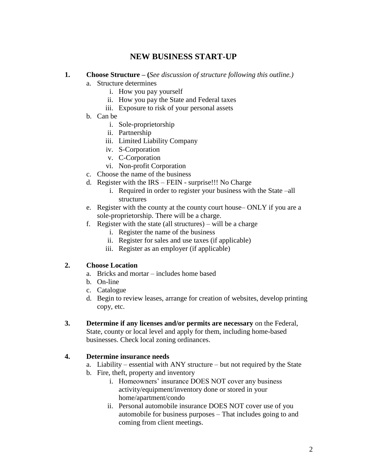# **NEW BUSINESS START-UP**

#### **1. Choose Structure – (***See discussion of structure following this outline.)*

- a. Structure determines
	- i. How you pay yourself
	- ii. How you pay the State and Federal taxes
	- iii. Exposure to risk of your personal assets
- b. Can be
	- i. Sole-proprietorship
	- ii. Partnership
	- iii. Limited Liability Company
	- iv. S-Corporation
	- v. C-Corporation
	- vi. Non-profit Corporation
- c. Choose the name of the business
- d. Register with the IRS FEIN surprise!!! No Charge
	- i. Required in order to register your business with the State –all structures
- e. Register with the county at the county court house– ONLY if you are a sole-proprietorship. There will be a charge.
- f. Register with the state (all structures) will be a charge
	- i. Register the name of the business
	- ii. Register for sales and use taxes (if applicable)
	- iii. Register as an employer (if applicable)

#### **2. Choose Location**

- a. Bricks and mortar includes home based
- b. On-line
- c. Catalogue
- d. Begin to review leases, arrange for creation of websites, develop printing copy, etc.
- **3. Determine if any licenses and/or permits are necessary** on the Federal, State, county or local level and apply for them, including home-based businesses. Check local zoning ordinances.

#### **4. Determine insurance needs**

- a. Liability essential with ANY structure but not required by the State
- b. Fire, theft, property and inventory
	- i. Homeowners' insurance DOES NOT cover any business activity/equipment/inventory done or stored in your home/apartment/condo
	- ii. Personal automobile insurance DOES NOT cover use of you automobile for business purposes – That includes going to and coming from client meetings.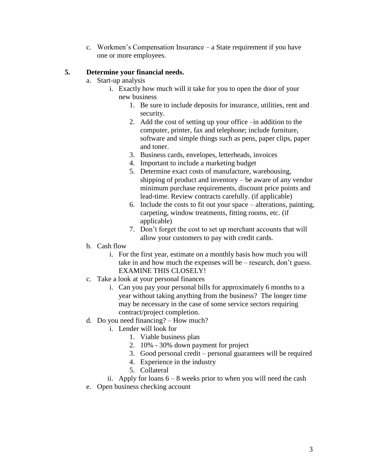c. Workmen's Compensation Insurance – a State requirement if you have one or more employees.

#### **5. Determine your financial needs.**

- a. Start-up analysis
	- i. Exactly how much will it take for you to open the door of your new business
		- 1. Be sure to include deposits for insurance, utilities, rent and security.
		- 2. Add the cost of setting up your office –in addition to the computer, printer, fax and telephone; include furniture, software and simple things such as pens, paper clips, paper and toner.
		- 3. Business cards, envelopes, letterheads, invoices
		- 4. Important to include a marketing budget
		- 5. Determine exact costs of manufacture, warehousing, shipping of product and inventory – be aware of any vendor minimum purchase requirements, discount price points and lead-time. Review contracts carefully. (if applicable)
		- 6. Include the costs to fit out your space alterations, painting, carpeting, window treatments, fitting rooms, etc. (if applicable)
		- 7. Don't forget the cost to set up merchant accounts that will allow your customers to pay with credit cards.
- b. Cash flow
	- i. For the first year, estimate on a monthly basis how much you will take in and how much the expenses will be – research, don't guess. EXAMINE THIS CLOSELY!
- c. Take a look at your personal finances
	- i. Can you pay your personal bills for approximately 6 months to a year without taking anything from the business? The longer time may be necessary in the case of some service sectors requiring contract/project completion.
- d. Do you need financing? How much?
	- i. Lender will look for
		- 1. Viable business plan
		- 2. 10% 30% down payment for project
		- 3. Good personal credit personal guarantees will be required
		- 4. Experience in the industry
		- 5. Collateral

ii. Apply for loans  $6 - 8$  weeks prior to when you will need the cash

e. Open business checking account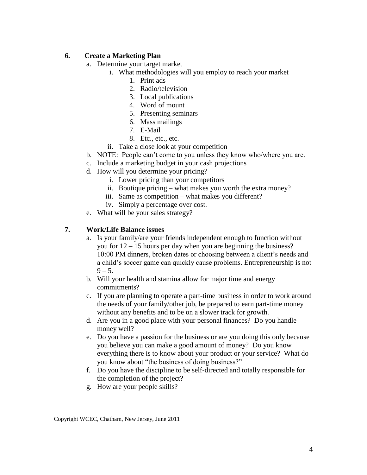#### **6. Create a Marketing Plan**

- a. Determine your target market
	- i. What methodologies will you employ to reach your market
		- 1. Print ads
		- 2. Radio/television
		- 3. Local publications
		- 4. Word of mount
		- 5. Presenting seminars
		- 6. Mass mailings
		- 7. E-Mail
		- 8. Etc., etc., etc.
	- ii. Take a close look at your competition
- b. NOTE: People can't come to you unless they know who/where you are.
- c. Include a marketing budget in your cash projections
- d. How will you determine your pricing?
	- i. Lower pricing than your competitors
	- ii. Boutique pricing what makes you worth the extra money?
	- iii. Same as competition what makes you different?
	- iv. Simply a percentage over cost.
- e. What will be your sales strategy?

#### **7. Work/Life Balance issues**

- a. Is your family/are your friends independent enough to function without you for 12 – 15 hours per day when you are beginning the business? 10:00 PM dinners, broken dates or choosing between a client's needs and a child's soccer game can quickly cause problems. Entrepreneurship is not  $9 - 5.$
- b. Will your health and stamina allow for major time and energy commitments?
- c. If you are planning to operate a part-time business in order to work around the needs of your family/other job, be prepared to earn part-time money without any benefits and to be on a slower track for growth.
- d. Are you in a good place with your personal finances? Do you handle money well?
- e. Do you have a passion for the business or are you doing this only because you believe you can make a good amount of money? Do you know everything there is to know about your product or your service? What do you know about "the business of doing business?"
- f. Do you have the discipline to be self-directed and totally responsible for the completion of the project?
- g. How are your people skills?

Copyright WCEC, Chatham, New Jersey, June 2011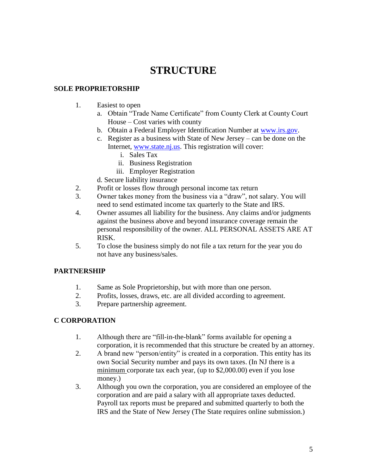# **STRUCTURE**

## **SOLE PROPRIETORSHIP**

- 1. Easiest to open
	- a. Obtain "Trade Name Certificate" from County Clerk at County Court House – Cost varies with county
	- b. Obtain a Federal Employer Identification Number at [www.irs.gov.](http://www.irs.gov/)
	- c. Register as a business with State of New Jersey can be done on the Internet, [www.state.nj.us.](http://www.state.nj.us/) This registration will cover:
		- i. Sales Tax
		- ii. Business Registration
		- iii. Employer Registration
	- d. Secure liability insurance
- 2. Profit or losses flow through personal income tax return
- 3. Owner takes money from the business via a "draw", not salary. You will need to send estimated income tax quarterly to the State and IRS.
- 4. Owner assumes all liability for the business. Any claims and/or judgments against the business above and beyond insurance coverage remain the personal responsibility of the owner. ALL PERSONAL ASSETS ARE AT RISK.
- 5. To close the business simply do not file a tax return for the year you do not have any business/sales.

#### **PARTNERSHIP**

- 1. Same as Sole Proprietorship, but with more than one person.
- 2. Profits, losses, draws, etc. are all divided according to agreement.
- 3. Prepare partnership agreement.

#### **C CORPORATION**

- 1. Although there are "fill-in-the-blank" forms available for opening a corporation, it is recommended that this structure be created by an attorney.
- 2. A brand new "person/entity" is created in a corporation. This entity has its own Social Security number and pays its own taxes. (In NJ there is a minimum corporate tax each year, (up to \$2,000.00) even if you lose money.)
- 3. Although you own the corporation, you are considered an employee of the corporation and are paid a salary with all appropriate taxes deducted. Payroll tax reports must be prepared and submitted quarterly to both the IRS and the State of New Jersey (The State requires online submission.)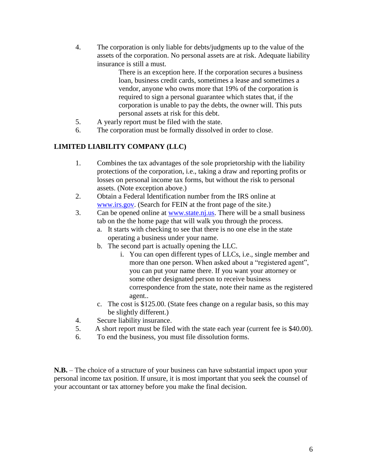4. The corporation is only liable for debts/judgments up to the value of the assets of the corporation. No personal assets are at risk. Adequate liability insurance is still a must.

> There is an exception here. If the corporation secures a business loan, business credit cards, sometimes a lease and sometimes a vendor, anyone who owns more that 19% of the corporation is required to sign a personal guarantee which states that, if the corporation is unable to pay the debts, the owner will. This puts personal assets at risk for this debt.

- 5. A yearly report must be filed with the state.
- 6. The corporation must be formally dissolved in order to close.

## **LIMITED LIABILITY COMPANY (LLC)**

- 1. Combines the tax advantages of the sole proprietorship with the liability protections of the corporation, i.e., taking a draw and reporting profits or losses on personal income tax forms, but without the risk to personal assets. (Note exception above.)
- 2. Obtain a Federal Identification number from the IRS online at [www.irs.gov.](http://www.irs.gov/) (Search for FEIN at the front page of the site.)
- 3. Can be opened online at [www.state.nj.us.](http://www.state.nj.us/) There will be a small business tab on the the home page that will walk you through the process.
	- a. It starts with checking to see that there is no one else in the state operating a business under your name.
	- b. The second part is actually opening the LLC.
		- i. You can open different types of LLCs, i.e., single member and more than one person. When asked about a "registered agent", you can put your name there. If you want your attorney or some other designated person to receive business correspondence from the state, note their name as the registered agent..
	- c. The cost is \$125.00. (State fees change on a regular basis, so this may be slightly different.)
- 4. Secure liability insurance.
- 5. A short report must be filed with the state each year (current fee is \$40.00).
- 6. To end the business, you must file dissolution forms.

**N.B.** – The choice of a structure of your business can have substantial impact upon your personal income tax position. If unsure, it is most important that you seek the counsel of your accountant or tax attorney before you make the final decision.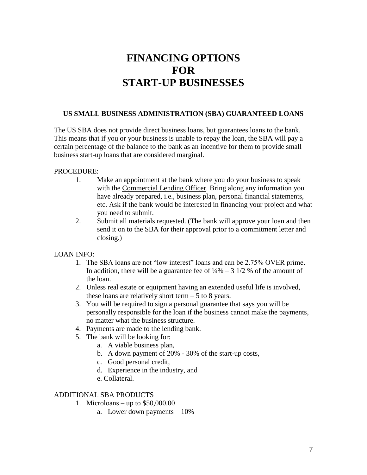# **FINANCING OPTIONS FOR START-UP BUSINESSES**

#### **US SMALL BUSINESS ADMINISTRATION (SBA) GUARANTEED LOANS**

The US SBA does not provide direct business loans, but guarantees loans to the bank. This means that if you or your business is unable to repay the loan, the SBA will pay a certain percentage of the balance to the bank as an incentive for them to provide small business start-up loans that are considered marginal.

#### PROCEDURE:

- 1. Make an appointment at the bank where you do your business to speak with the Commercial Lending Officer. Bring along any information you have already prepared, i.e., business plan, personal financial statements, etc. Ask if the bank would be interested in financing your project and what you need to submit.
- 2. Submit all materials requested. (The bank will approve your loan and then send it on to the SBA for their approval prior to a commitment letter and closing.)

#### LOAN INFO:

- 1. The SBA loans are not "low interest" loans and can be 2.75% OVER prime. In addition, there will be a guarantee fee of  $\frac{1}{4}\% - 3 \frac{1}{2} \%$  of the amount of the loan.
- 2. Unless real estate or equipment having an extended useful life is involved, these loans are relatively short term  $-5$  to 8 years.
- 3. You will be required to sign a personal guarantee that says you will be personally responsible for the loan if the business cannot make the payments, no matter what the business structure.
- 4. Payments are made to the lending bank.
- 5. The bank will be looking for:
	- a. A viable business plan,
	- b. A down payment of 20% 30% of the start-up costs,
	- c. Good personal credit,
	- d. Experience in the industry, and
	- e. Collateral.

#### ADDITIONAL SBA PRODUCTS

- 1. Microloans up to \$50,000.00
	- a. Lower down payments 10%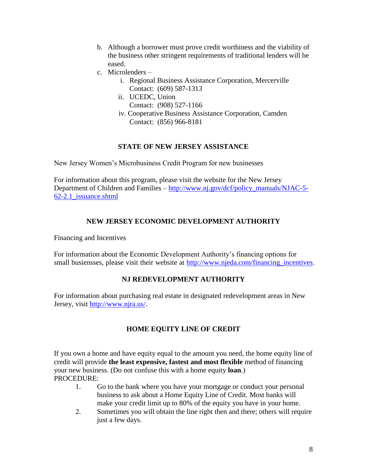- b. Although a borrower must prove credit worthiness and the viability of the business other stringent requirements of traditional lenders will be eased.
- c. Microlenders
	- i. Regional Business Assistance Corporation, Mercerville Contact: (609) 587-1313
	- ii. UCEDC, Union
	- Contact: (908) 527-1166
	- iv. Cooperative Business Assistance Corporation, Camden Contact: (856) 966-8181

## **STATE OF NEW JERSEY ASSISTANCE**

New Jersey Women's Microbusiness Credit Program for new businesses

For information about this program, please visit the website for the New Jersey Department of Children and Families – [http://www.nj.gov/dcf/policy\\_manuals/NJAC-5-](http://www.nj.gov/dcf/policy_manuals/NJAC-5-62-2.1_issuance.shtml) [62-2.1\\_issuance.shtml](http://www.nj.gov/dcf/policy_manuals/NJAC-5-62-2.1_issuance.shtml)

## **NEW JERSEY ECONOMIC DEVELOPMENT AUTHORITY**

Financing and Incentives

For information about the Economic Development Authority's financing options for small busiensses, please visit their website at http://www.njeda.com/financing incentives.

#### **NJ REDEVELOPMENT AUTHORITY**

For information about purchasing real estate in designated redevelopment areas in New Jersey, visit [http://www.njra.us/.](http://www.njra.us/)

## **HOME EQUITY LINE OF CREDIT**

If you own a home and have equity equal to the amount you need, the home equity line of credit will provide **the least expensive, fastest and most flexible** method of financing your new business. (Do not confuse this with a home equity **loan**.) PROCEDURE:

- 1. Go to the bank where you have your mortgage or conduct your personal business to ask about a Home Equity Line of Credit. Most banks will make your credit limit up to 80% of the equity you have in your home.
- 2. Sometimes you will obtain the line right then and there; others will require just a few days.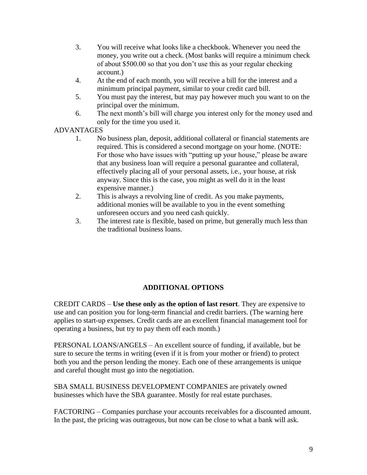- 3. You will receive what looks like a checkbook. Whenever you need the money, you write out a check. (Most banks will require a minimum check of about \$500.00 so that you don't use this as your regular checking account.)
- 4. At the end of each month, you will receive a bill for the interest and a minimum principal payment, similar to your credit card bill.
- 5. You must pay the interest, but may pay however much you want to on the principal over the minimum.
- 6. The next month's bill will charge you interest only for the money used and only for the time you used it.

## ADVANTAGES

- 1. No business plan, deposit, additional collateral or financial statements are required. This is considered a second mortgage on your home. (NOTE: For those who have issues with "putting up your house," please be aware that any business loan will require a personal guarantee and collateral, effectively placing all of your personal assets, i.e., your house, at risk anyway. Since this is the case, you might as well do it in the least expensive manner.)
- 2. This is always a revolving line of credit. As you make payments, additional monies will be available to you in the event something unforeseen occurs and you need cash quickly.
- 3. The interest rate is flexible, based on prime, but generally much less than the traditional business loans.

## **ADDITIONAL OPTIONS**

CREDIT CARDS – **Use these only as the option of last resort**. They are expensive to use and can position you for long-term financial and credit barriers. (The warning here applies to start-up expenses. Credit cards are an excellent financial management tool for operating a business, but try to pay them off each month.)

PERSONAL LOANS/ANGELS – An excellent source of funding, if available, but be sure to secure the terms in writing (even if it is from your mother or friend) to protect both you and the person lending the money. Each one of these arrangements is unique and careful thought must go into the negotiation.

SBA SMALL BUSINESS DEVELOPMENT COMPANIES are privately owned businesses which have the SBA guarantee. Mostly for real estate purchases.

FACTORING – Companies purchase your accounts receivables for a discounted amount. In the past, the pricing was outrageous, but now can be close to what a bank will ask.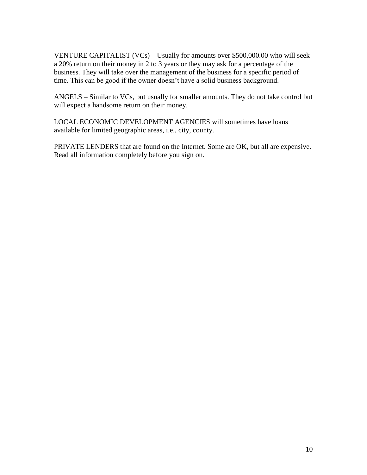VENTURE CAPITALIST (VCs) – Usually for amounts over \$500,000.00 who will seek a 20% return on their money in 2 to 3 years or they may ask for a percentage of the business. They will take over the management of the business for a specific period of time. This can be good if the owner doesn't have a solid business background.

ANGELS – Similar to VCs, but usually for smaller amounts. They do not take control but will expect a handsome return on their money.

LOCAL ECONOMIC DEVELOPMENT AGENCIES will sometimes have loans available for limited geographic areas, i.e., city, county.

PRIVATE LENDERS that are found on the Internet. Some are OK, but all are expensive. Read all information completely before you sign on.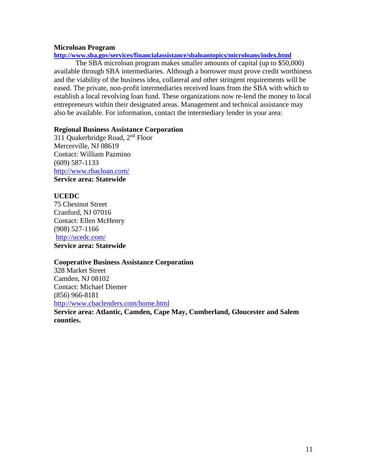#### **Microloan Program**

**<http://www.sba.gov/services/financialassistance/sbaloantopics/microloans/index.html>**

The SBA microloan program makes smaller amounts of capital (up to \$50,000) available through SBA intermediaries. Although a borrower must prove credit worthiness and the viability of the business idea, collateral and other stringent requirements will be eased. The private, non-profit intermediaries received loans from the SBA with which to establish a local revolving loan fund. These organizations now re-lend the money to local entrepreneurs within their designated areas. Management and technical assistance may also be available. For information, contact the intermediary lender in your area:

#### **Regional Business Assistance Corporation**

311 Quakerbridge Road, 2nd Floor Mercerville, NJ 08619 Contact: William Pazmino (609) 587-1133 <http://www.rbacloan.com/> **Service area: Statewide**

#### **UCEDC**

75 Chestnut Street Cranford, NJ 07016 Contact: Ellen McHenry (908) 527-1166 <http://ucedc.com/> **Service area: Statewide**

#### **Cooperative Business Assistance Corporation**

328 Market Street Camden, NJ 08102 Contact: Michael Diemer (856) 966-8181 <http://www.cbaclenders.com/home.html>

**Service area: Atlantic, Camden, Cape May, Cumberland, Gloucester and Salem counties.**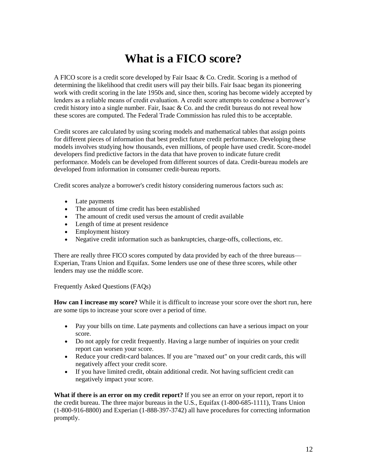# **What is a FICO score?**

A FICO score is a credit score developed by Fair Isaac & Co. Credit. Scoring is a method of determining the likelihood that credit users will pay their bills. Fair Isaac began its pioneering work with credit scoring in the late 1950s and, since then, scoring has become widely accepted by lenders as a reliable means of credit evaluation. A credit score attempts to condense a borrower's credit history into a single number. Fair, Isaac  $& Co.$  and the credit bureaus do not reveal how these scores are computed. The Federal Trade Commission has ruled this to be acceptable.

Credit scores are calculated by using scoring models and mathematical tables that assign points for different pieces of information that best predict future credit performance. Developing these models involves studying how thousands, even millions, of people have used credit. Score-model developers find predictive factors in the data that have proven to indicate future credit performance. Models can be developed from different sources of data. Credit-bureau models are developed from information in consumer credit-bureau reports.

Credit scores analyze a borrower's credit history considering numerous factors such as:

- Late payments
- The amount of time credit has been established
- The amount of credit used versus the amount of credit available
- Length of time at present residence
- Employment history
- Negative credit information such as bankruptcies, charge-offs, collections, etc.

There are really three FICO scores computed by data provided by each of the three bureaus— Experian, Trans Union and Equifax. Some lenders use one of these three scores, while other lenders may use the middle score.

Frequently Asked Questions (FAQs)

**How can I increase my score?** While it is difficult to increase your score over the short run, here are some tips to increase your score over a period of time.

- Pay your bills on time. Late payments and collections can have a serious impact on your score.
- Do not apply for credit frequently. Having a large number of inquiries on your credit report can worsen your score.
- Reduce your credit-card balances. If you are "maxed out" on your credit cards, this will negatively affect your credit score.
- If you have limited credit, obtain additional credit. Not having sufficient credit can negatively impact your score.

**What if there is an error on my credit report?** If you see an error on your report, report it to the credit bureau. The three major bureaus in the U.S., Equifax (1-800-685-1111), Trans Union (1-800-916-8800) and Experian (1-888-397-3742) all have procedures for correcting information promptly.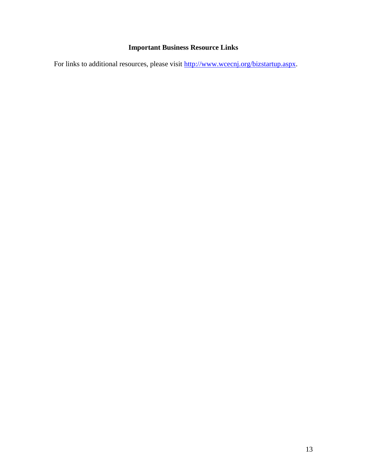# **Important Business Resource Links**

For links to additional resources, please visit [http://www.wcecnj.org/bizstartup.aspx.](http://www.wcecnj.org/bizstartup.aspx)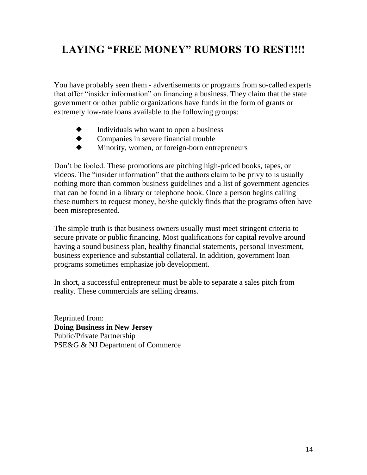# **LAYING "FREE MONEY" RUMORS TO REST!!!!**

You have probably seen them - advertisements or programs from so-called experts that offer "insider information" on financing a business. They claim that the state government or other public organizations have funds in the form of grants or extremely low-rate loans available to the following groups:

- Individuals who want to open a business
- Companies in severe financial trouble
- Minority, women, or foreign-born entrepreneurs

Don't be fooled. These promotions are pitching high-priced books, tapes, or videos. The "insider information" that the authors claim to be privy to is usually nothing more than common business guidelines and a list of government agencies that can be found in a library or telephone book. Once a person begins calling these numbers to request money, he/she quickly finds that the programs often have been misrepresented.

The simple truth is that business owners usually must meet stringent criteria to secure private or public financing. Most qualifications for capital revolve around having a sound business plan, healthy financial statements, personal investment, business experience and substantial collateral. In addition, government loan programs sometimes emphasize job development.

In short, a successful entrepreneur must be able to separate a sales pitch from reality. These commercials are selling dreams.

Reprinted from: **Doing Business in New Jersey** Public/Private Partnership PSE&G & NJ Department of Commerce